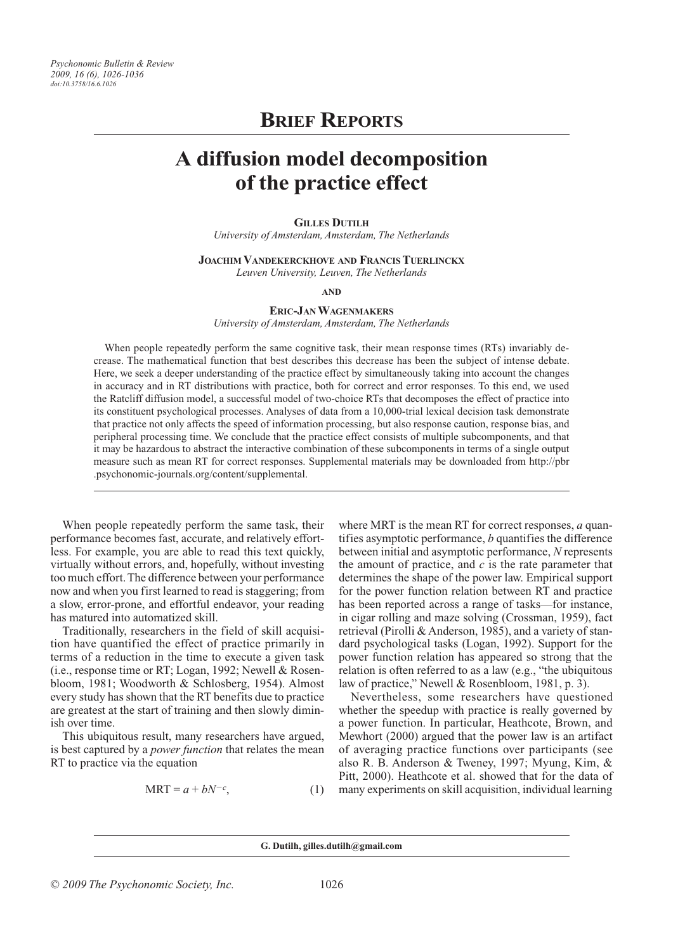# **Brief Reports**

# **A diffusion model decomposition of the practice effect**

## **Gilles Dutilh**

*University of Amsterdam, Amsterdam, The Netherlands*

**Joachim Vandekerckhove and FrancisTuerlinckx**

*Leuven University, Leuven, The Netherlands*

**and**

# **Eric-Jan Wagenmakers**

*University of Amsterdam, Amsterdam, The Netherlands*

When people repeatedly perform the same cognitive task, their mean response times (RTs) invariably decrease. The mathematical function that best describes this decrease has been the subject of intense debate. Here, we seek a deeper understanding of the practice effect by simultaneously taking into account the changes in accuracy and in RT distributions with practice, both for correct and error responses. To this end, we used the Ratcliff diffusion model, a successful model of two-choice RTs that decomposes the effect of practice into its constituent psychological processes. Analyses of data from a 10,000-trial lexical decision task demonstrate that practice not only affects the speed of information processing, but also response caution, response bias, and peripheral processing time. We conclude that the practice effect consists of multiple subcomponents, and that it may be hazardous to abstract the interactive combination of these subcomponents in terms of a single output measure such as mean RT for correct responses. Supplemental materials may be downloaded from http://pbr .psychonomic-journals.org/content/supplemental.

When people repeatedly perform the same task, their performance becomes fast, accurate, and relatively effortless. For example, you are able to read this text quickly, virtually without errors, and, hopefully, without investing too much effort. The difference between your performance now and when you first learned to read is staggering; from a slow, error-prone, and effortful endeavor, your reading has matured into automatized skill.

Traditionally, researchers in the field of skill acquisition have quantified the effect of practice primarily in terms of a reduction in the time to execute a given task (i.e., response time or RT; Logan, 1992; Newell & Rosenbloom, 1981; Woodworth & Schlosberg, 1954). Almost every study has shown that the RT benefits due to practice are greatest at the start of training and then slowly diminish over time.

This ubiquitous result, many researchers have argued, is best captured by a *power function* that relates the mean RT to practice via the equation

$$
MRT = a + bN^{-c}, \qquad (1)
$$

where MRT is the mean RT for correct responses, *a* quantifies asymptotic performance, *b* quantifies the difference between initial and asymptotic performance, *N* represents the amount of practice, and *c* is the rate parameter that determines the shape of the power law. Empirical support for the power function relation between RT and practice has been reported across a range of tasks—for instance, in cigar rolling and maze solving (Crossman, 1959), fact retrieval (Pirolli & Anderson, 1985), and a variety of standard psychological tasks (Logan, 1992). Support for the power function relation has appeared so strong that the relation is often referred to as a law (e.g., "the ubiquitous law of practice," Newell & Rosenbloom, 1981, p. 3).

Nevertheless, some researchers have questioned whether the speedup with practice is really governed by a power function. In particular, Heathcote, Brown, and Mewhort (2000) argued that the power law is an artifact of averaging practice functions over participants (see also R. B. Anderson & Tweney, 1997; Myung, Kim, & Pitt, 2000). Heathcote et al. showed that for the data of many experiments on skill acquisition, individual learning

**G. Dutilh, gilles.dutilh@gmail.com**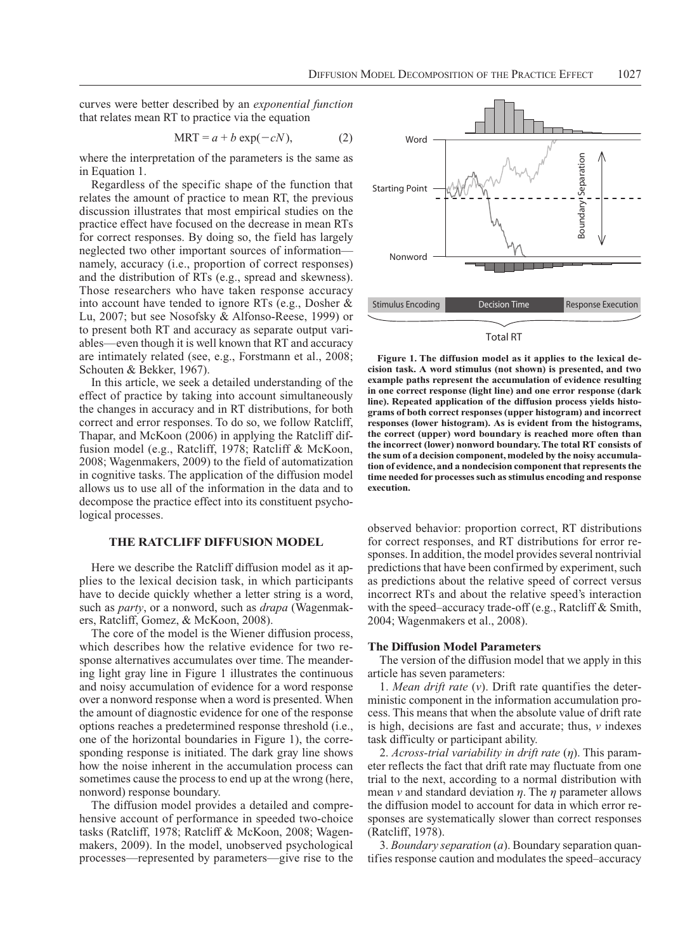curves were better described by an *exponential function* that relates mean RT to practice via the equation

$$
MRT = a + b \exp(-cN), \qquad (2)
$$

where the interpretation of the parameters is the same as in Equation 1.

Regardless of the specific shape of the function that relates the amount of practice to mean RT, the previous discussion illustrates that most empirical studies on the practice effect have focused on the decrease in mean RTs for correct responses. By doing so, the field has largely neglected two other important sources of information namely, accuracy (i.e., proportion of correct responses) and the distribution of RTs (e.g., spread and skewness). Those researchers who have taken response accuracy into account have tended to ignore RTs (e.g., Dosher & Lu, 2007; but see Nosofsky & Alfonso-Reese, 1999) or to present both RT and accuracy as separate output variables—even though it is well known that RT and accuracy are intimately related (see, e.g., Forstmann et al., 2008; Schouten & Bekker, 1967).

In this article, we seek a detailed understanding of the effect of practice by taking into account simultaneously the changes in accuracy and in RT distributions, for both correct and error responses. To do so, we follow Ratcliff, Thapar, and McKoon (2006) in applying the Ratcliff diffusion model (e.g., Ratcliff, 1978; Ratcliff & McKoon, 2008; Wagenmakers, 2009) to the field of automatization in cognitive tasks. The application of the diffusion model allows us to use all of the information in the data and to decompose the practice effect into its constituent psychological processes.

# **The Ratcliff Diffusion Model**

Here we describe the Ratcliff diffusion model as it applies to the lexical decision task, in which participants have to decide quickly whether a letter string is a word, such as *party*, or a nonword, such as *drapa* (Wagenmakers, Ratcliff, Gomez, & McKoon, 2008).

The core of the model is the Wiener diffusion process, which describes how the relative evidence for two response alternatives accumulates over time. The meandering light gray line in Figure 1 illustrates the continuous and noisy accumulation of evidence for a word response over a nonword response when a word is presented. When the amount of diagnostic evidence for one of the response options reaches a predetermined response threshold (i.e., one of the horizontal boundaries in Figure 1), the corresponding response is initiated. The dark gray line shows how the noise inherent in the accumulation process can sometimes cause the process to end up at the wrong (here, nonword) response boundary.

The diffusion model provides a detailed and comprehensive account of performance in speeded two-choice tasks (Ratcliff, 1978; Ratcliff & McKoon, 2008; Wagenmakers, 2009). In the model, unobserved psychological processes—represented by parameters—give rise to the



# Total RT

**Figure 1. The diffusion model as it applies to the lexical decision task. A word stimulus (not shown) is presented, and two example paths represent the accumulation of evidence resulting in one correct response (light line) and one error response (dark line). Repeated application of the diffusion process yields histograms of both correct responses (upper histogram) and incorrect responses (lower histogram). As is evident from the histograms, the correct (upper) word boundary is reached more often than the incorrect (lower) nonword boundary. The total RT consists of the sum of a decision component, modeled by the noisy accumulation of evidence, and a nondecision component that represents the time needed for processes such as stimulus encoding and response execution.**

observed behavior: proportion correct, RT distributions for correct responses, and RT distributions for error responses. In addition, the model provides several nontrivial predictions that have been confirmed by experiment, such as predictions about the relative speed of correct versus incorrect RTs and about the relative speed's interaction with the speed–accuracy trade-off (e.g., Ratcliff & Smith, 2004; Wagenmakers et al., 2008).

# **The Diffusion Model Parameters**

The version of the diffusion model that we apply in this article has seven parameters:

1. *Mean drift rate* (*v*). Drift rate quantifies the deterministic component in the information accumulation process. This means that when the absolute value of drift rate is high, decisions are fast and accurate; thus, *v* indexes task difficulty or participant ability.

2. *Across-trial variability in drift rate* (*h*). This parameter reflects the fact that drift rate may fluctuate from one trial to the next, according to a normal distribution with mean  $\nu$  and standard deviation  $\eta$ . The  $\eta$  parameter allows the diffusion model to account for data in which error responses are systematically slower than correct responses (Ratcliff, 1978).

3. *Boundary separation* (*a*). Boundary separation quantifies response caution and modulates the speed–accuracy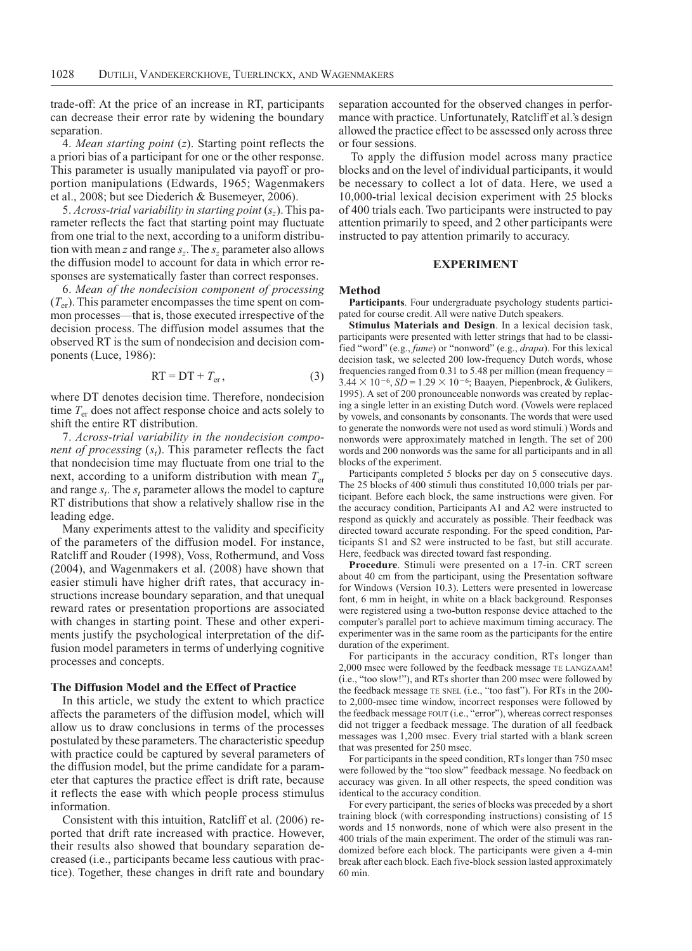trade-off: At the price of an increase in RT, participants can decrease their error rate by widening the boundary separation.

4. *Mean starting point* (*z*). Starting point reflects the a priori bias of a participant for one or the other response. This parameter is usually manipulated via payoff or proportion manipulations (Edwards, 1965; Wagenmakers et al., 2008; but see Diederich & Busemeyer, 2006).

5. *Across-trial variability in starting point* (*sz*). This parameter reflects the fact that starting point may fluctuate from one trial to the next, according to a uniform distribution with mean *z* and range  $s_z$ . The  $s_z$  parameter also allows the diffusion model to account for data in which error responses are systematically faster than correct responses.

6. *Mean of the nondecision component of processing*  $(T_{\text{er}})$ . This parameter encompasses the time spent on common processes—that is, those executed irrespective of the decision process. The diffusion model assumes that the observed RT is the sum of nondecision and decision components (Luce, 1986):

$$
RT = DT + Ter, \t\t(3)
$$

where DT denotes decision time. Therefore, nondecision time *T*er does not affect response choice and acts solely to shift the entire RT distribution.

7. *Across-trial variability in the nondecision component of processing*  $(s_t)$ . This parameter reflects the fact that nondecision time may fluctuate from one trial to the next, according to a uniform distribution with mean  $T_{\text{er}}$ and range  $s_t$ . The  $s_t$  parameter allows the model to capture RT distributions that show a relatively shallow rise in the leading edge.

Many experiments attest to the validity and specificity of the parameters of the diffusion model. For instance, Ratcliff and Rouder (1998), Voss, Rothermund, and Voss (2004), and Wagenmakers et al. (2008) have shown that easier stimuli have higher drift rates, that accuracy instructions increase boundary separation, and that unequal reward rates or presentation proportions are associated with changes in starting point. These and other experiments justify the psychological interpretation of the diffusion model parameters in terms of underlying cognitive processes and concepts.

# **The Diffusion Model and the Effect of Practice**

In this article, we study the extent to which practice affects the parameters of the diffusion model, which will allow us to draw conclusions in terms of the processes postulated by these parameters. The characteristic speedup with practice could be captured by several parameters of the diffusion model, but the prime candidate for a parameter that captures the practice effect is drift rate, because it reflects the ease with which people process stimulus information.

Consistent with this intuition, Ratcliff et al. (2006) reported that drift rate increased with practice. However, their results also showed that boundary separation decreased (i.e., participants became less cautious with practice). Together, these changes in drift rate and boundary separation accounted for the observed changes in performance with practice. Unfortunately, Ratcliff et al.'s design allowed the practice effect to be assessed only across three or four sessions.

To apply the diffusion model across many practice blocks and on the level of individual participants, it would be necessary to collect a lot of data. Here, we used a 10,000-trial lexical decision experiment with 25 blocks of 400 trials each. Two participants were instructed to pay attention primarily to speed, and 2 other participants were instructed to pay attention primarily to accuracy.

# **Experiment**

### **Method**

**Participants**. Four undergraduate psychology students participated for course credit. All were native Dutch speakers.

**Stimulus Materials and Design**. In a lexical decision task, participants were presented with letter strings that had to be classified "word" (e.g., *fume*) or "nonword" (e.g., *drapa*). For this lexical decision task, we selected 200 low-frequency Dutch words, whose frequencies ranged from 0.31 to 5.48 per million (mean frequency =  $3.44 \times 10^{-6}$ ,  $SD = 1.29 \times 10^{-6}$ ; Baayen, Piepenbrock, & Gulikers, 1995). A set of 200 pronounceable nonwords was created by replacing a single letter in an existing Dutch word. (Vowels were replaced by vowels, and consonants by consonants. The words that were used to generate the nonwords were not used as word stimuli.) Words and nonwords were approximately matched in length. The set of 200 words and 200 nonwords was the same for all participants and in all blocks of the experiment.

Participants completed 5 blocks per day on 5 consecutive days. The 25 blocks of 400 stimuli thus constituted 10,000 trials per participant. Before each block, the same instructions were given. For the accuracy condition, Participants A1 and A2 were instructed to respond as quickly and accurately as possible. Their feedback was directed toward accurate responding. For the speed condition, Participants S1 and S2 were instructed to be fast, but still accurate. Here, feedback was directed toward fast responding.

**Procedure**. Stimuli were presented on a 17-in. CRT screen about 40 cm from the participant, using the Presentation software for Windows (Version 10.3). Letters were presented in lowercase font, 6 mm in height, in white on a black background. Responses were registered using a two-button response device attached to the computer's parallel port to achieve maximum timing accuracy. The experimenter was in the same room as the participants for the entire duration of the experiment.

For participants in the accuracy condition, RTs longer than 2,000 msec were followed by the feedback message te langzaam! (i.e., "too slow!"), and RTs shorter than 200 msec were followed by the feedback message te snel (i.e., "too fast"). For RTs in the 200 to 2,000-msec time window, incorrect responses were followed by the feedback message FOUT (i.e., "error"), whereas correct responses did not trigger a feedback message. The duration of all feedback messages was 1,200 msec. Every trial started with a blank screen that was presented for 250 msec.

For participants in the speed condition, RTs longer than 750 msec were followed by the "too slow" feedback message. No feedback on accuracy was given. In all other respects, the speed condition was identical to the accuracy condition.

For every participant, the series of blocks was preceded by a short training block (with corresponding instructions) consisting of 15 words and 15 nonwords, none of which were also present in the 400 trials of the main experiment. The order of the stimuli was randomized before each block. The participants were given a 4-min break after each block. Each five-block session lasted approximately 60 min.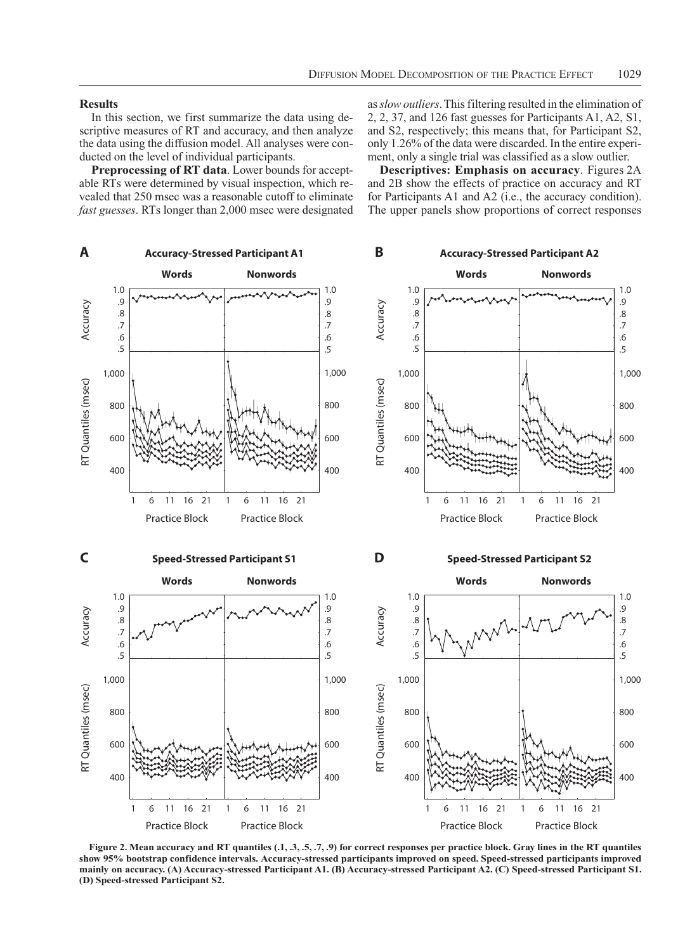## **Results**

In this section, we first summarize the data using descriptive measures of RT and accuracy, and then analyze the data using the diffusion model. All analyses were conducted on the level of individual participants.

**Preprocessing of RT data**. Lower bounds for acceptable RTs were determined by visual inspection, which revealed that 250 msec was a reasonable cutoff to eliminate *fast guesses*. RTs longer than 2,000 msec were designated as *slow outliers*. This filtering resulted in the elimination of 2, 2, 37, and 126 fast guesses for Participants A1, A2, S1, and S2, respectively; this means that, for Participant S2, only 1.26% of the data were discarded. In the entire experiment, only a single trial was classified as a slow outlier.

**Descriptives: Emphasis on accuracy**. Figures 2A and 2B show the effects of practice on accuracy and RT for Participants A1 and A2 (i.e., the accuracy condition). The upper panels show proportions of correct responses



Figure 2. Mean accuracy and RT quantiles (.1, .3, .5, .7, .9) for correct responses per practice block. Gray lines in the RT quantiles **show 95% bootstrap confidence intervals. Accuracy-stressed participants improved on speed. Speed-stressed participants improved mainly on accuracy. (A) Accuracy-stressed Participant A1. (B) Accuracy-stressed Participant A2. (C) Speed-stressed Participant S1.**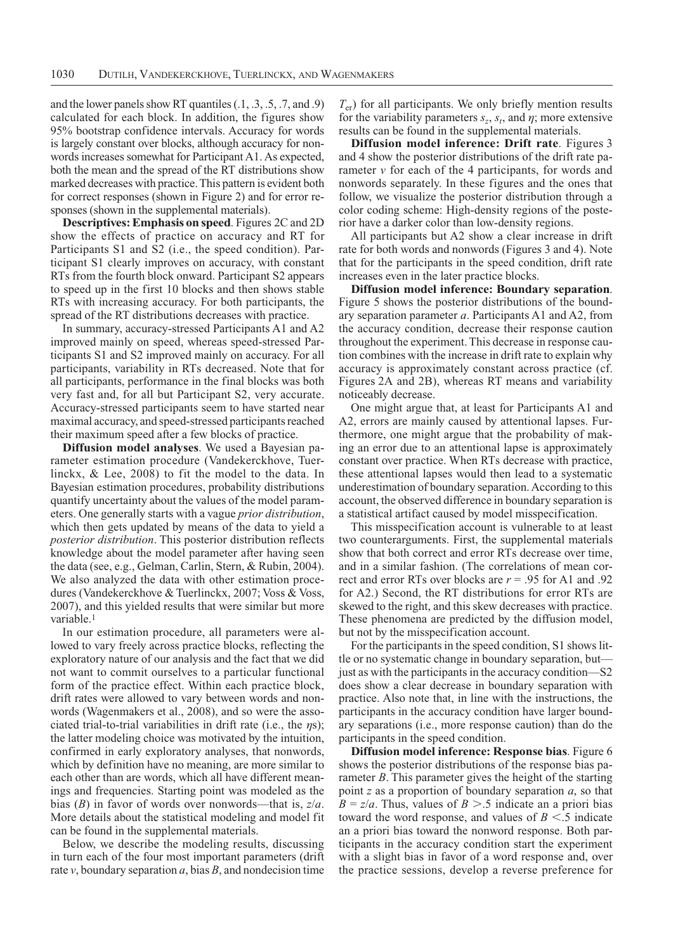and the lower panels show RT quantiles (.1, .3, .5, .7, and .9) calculated for each block. In addition, the figures show 95% bootstrap confidence intervals. Accuracy for words is largely constant over blocks, although accuracy for nonwords increases somewhat for Participant A1. As expected, both the mean and the spread of the RT distributions show marked decreases with practice. This pattern is evident both for correct responses (shown in Figure 2) and for error responses (shown in the supplemental materials).

**Descriptives: Emphasis on speed**. Figures 2C and 2D show the effects of practice on accuracy and RT for Participants S1 and S2 (i.e., the speed condition). Participant S1 clearly improves on accuracy, with constant RTs from the fourth block onward. Participant S2 appears to speed up in the first 10 blocks and then shows stable RTs with increasing accuracy. For both participants, the spread of the RT distributions decreases with practice.

In summary, accuracy-stressed Participants A1 and A2 improved mainly on speed, whereas speed-stressed Participants S1 and S2 improved mainly on accuracy. For all participants, variability in RTs decreased. Note that for all participants, performance in the final blocks was both very fast and, for all but Participant S2, very accurate. Accuracy-stressed participants seem to have started near maximal accuracy, and speed-stressed participants reached their maximum speed after a few blocks of practice.

**Diffusion model analyses**. We used a Bayesian parameter estimation procedure (Vandekerckhove, Tuerlinckx, & Lee, 2008) to fit the model to the data. In Bayesian estimation procedures, probability distributions quantify uncertainty about the values of the model parameters. One generally starts with a vague *prior distribution*, which then gets updated by means of the data to yield a *posterior distribution*. This posterior distribution reflects knowledge about the model parameter after having seen the data (see, e.g., Gelman, Carlin, Stern, & Rubin, 2004). We also analyzed the data with other estimation procedures (Vandekerckhove & Tuerlinckx, 2007; Voss & Voss, 2007), and this yielded results that were similar but more variable.<sup>1</sup>

In our estimation procedure, all parameters were allowed to vary freely across practice blocks, reflecting the exploratory nature of our analysis and the fact that we did not want to commit ourselves to a particular functional form of the practice effect. Within each practice block, drift rates were allowed to vary between words and nonwords (Wagenmakers et al., 2008), and so were the associated trial-to-trial variabilities in drift rate (i.e., the *h*s); the latter modeling choice was motivated by the intuition, confirmed in early exploratory analyses, that nonwords, which by definition have no meaning, are more similar to each other than are words, which all have different meanings and frequencies. Starting point was modeled as the bias (*B*) in favor of words over nonwords—that is, *z*/*a*. More details about the statistical modeling and model fit can be found in the supplemental materials.

Below, we describe the modeling results, discussing in turn each of the four most important parameters (drift rate *v*, boundary separation *a*, bias *B*, and nondecision time *T*er) for all participants. We only briefly mention results for the variability parameters  $s_z$ ,  $s_t$ , and  $\eta$ ; more extensive results can be found in the supplemental materials.

**Diffusion model inference: Drift rate**. Figures 3 and 4 show the posterior distributions of the drift rate parameter *v* for each of the 4 participants, for words and nonwords separately. In these figures and the ones that follow, we visualize the posterior distribution through a color coding scheme: High-density regions of the posterior have a darker color than low-density regions.

All participants but A2 show a clear increase in drift rate for both words and nonwords (Figures 3 and 4). Note that for the participants in the speed condition, drift rate increases even in the later practice blocks.

**Diffusion model inference: Boundary separation**. Figure 5 shows the posterior distributions of the boundary separation parameter *a*. Participants A1 and A2, from the accuracy condition, decrease their response caution throughout the experiment. This decrease in response caution combines with the increase in drift rate to explain why accuracy is approximately constant across practice (cf. Figures 2A and 2B), whereas RT means and variability noticeably decrease.

One might argue that, at least for Participants A1 and A2, errors are mainly caused by attentional lapses. Furthermore, one might argue that the probability of making an error due to an attentional lapse is approximately constant over practice. When RTs decrease with practice, these attentional lapses would then lead to a systematic underestimation of boundary separation. According to this account, the observed difference in boundary separation is a statistical artifact caused by model misspecification.

This misspecification account is vulnerable to at least two counterarguments. First, the supplemental materials show that both correct and error RTs decrease over time, and in a similar fashion. (The correlations of mean correct and error RTs over blocks are *r* = .95 for A1 and .92 for A2.) Second, the RT distributions for error RTs are skewed to the right, and this skew decreases with practice. These phenomena are predicted by the diffusion model, but not by the misspecification account.

For the participants in the speed condition, S1 shows little or no systematic change in boundary separation, but just as with the participants in the accuracy condition—S2 does show a clear decrease in boundary separation with practice. Also note that, in line with the instructions, the participants in the accuracy condition have larger boundary separations (i.e., more response caution) than do the participants in the speed condition.

**Diffusion model inference: Response bias**. Figure 6 shows the posterior distributions of the response bias parameter *B*. This parameter gives the height of the starting point *z* as a proportion of boundary separation *a*, so that  $B = z/a$ . Thus, values of  $B > .5$  indicate an a priori bias toward the word response, and values of  $B \leq .5$  indicate an a priori bias toward the nonword response. Both participants in the accuracy condition start the experiment with a slight bias in favor of a word response and, over the practice sessions, develop a reverse preference for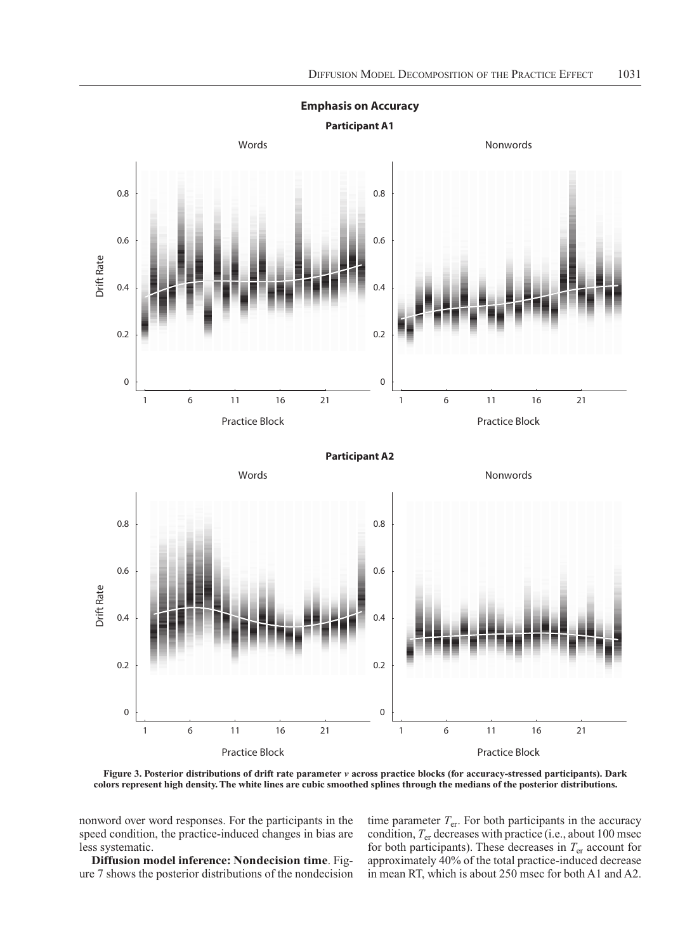

**Emphasis on Accuracy**

**Figure 3. Posterior distributions of drift rate parameter** *v* **across practice blocks (for accuracy-stressed participants). Dark** 

nonword over word responses. For the participants in the speed condition, the practice-induced changes in bias are less systematic.

**Diffusion model inference: Nondecision time**. Figure 7 shows the posterior distributions of the nondecision time parameter  $T_{\text{er}}$ . For both participants in the accuracy condition, *T*er decreases with practice (i.e., about 100 msec for both participants). These decreases in  $T_{\text{er}}$  account for approximately 40% of the total practice-induced decrease in mean RT, which is about 250 msec for both A1 and A2.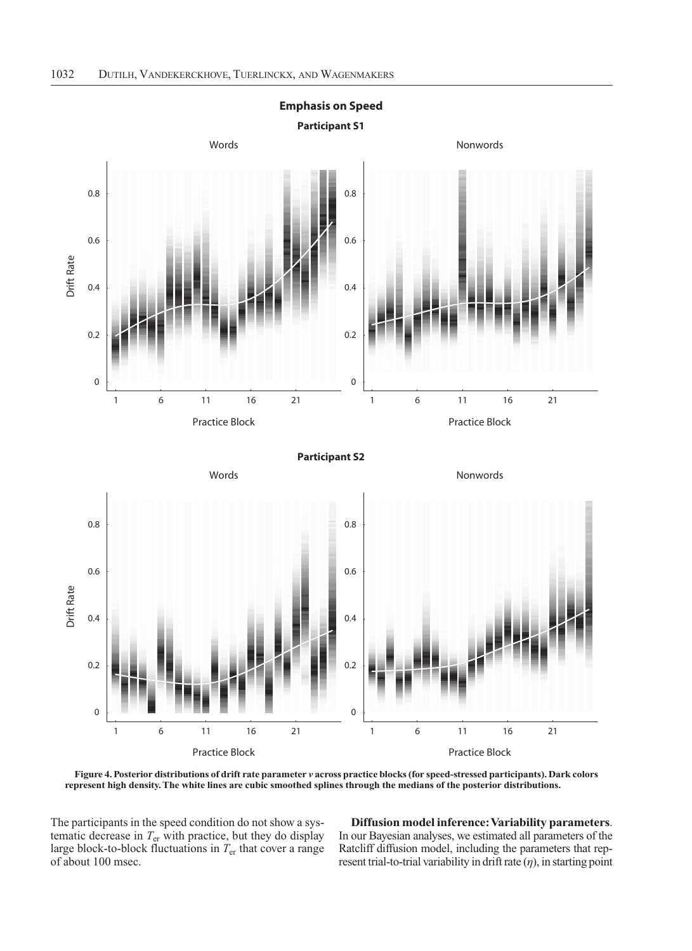

**Figure 4. Posterior distributions of drift rate parameter** *v* **across practice blocks (for speed-stressed participants). Dark colors** 

The participants in the speed condition do not show a systematic decrease in *T*er with practice, but they do display large block-to-block fluctuations in *T*er that cover a range of about 100 msec.

**Diffusion model inference: Variability parameters**. In our Bayesian analyses, we estimated all parameters of the Ratcliff diffusion model, including the parameters that represent trial-to-trial variability in drift rate  $(\eta)$ , in starting point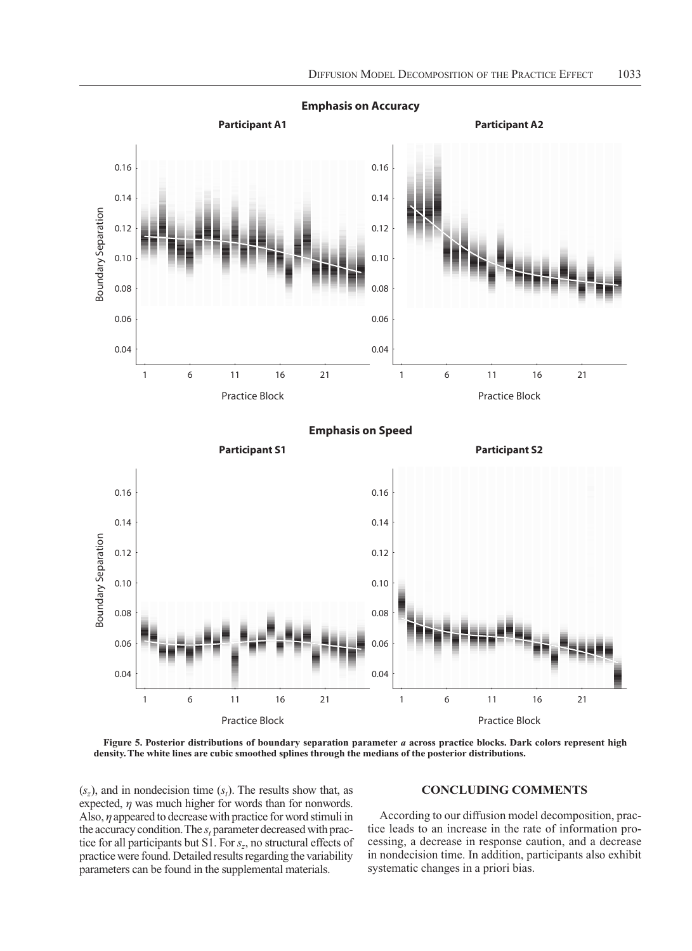

**Emphasis on Accuracy**

**Emphasis on Speed**



**Figure 5. Posterior distributions of boundary separation parameter** *a* **across practice blocks. Dark colors represent high** 

 $(s_z)$ , and in nondecision time  $(s_t)$ . The results show that, as expected,  $\eta$  was much higher for words than for nonwords. Also, *h* appeared to decrease with practice for word stimuli in the accuracy condition. The  $s_t$  parameter decreased with practice for all participants but S1. For *sz*, no structural effects of practice were found. Detailed results regarding the variability parameters can be found in the supplemental materials.

# **Concluding Comments**

According to our diffusion model decomposition, practice leads to an increase in the rate of information processing, a decrease in response caution, and a decrease in nondecision time. In addition, participants also exhibit systematic changes in a priori bias.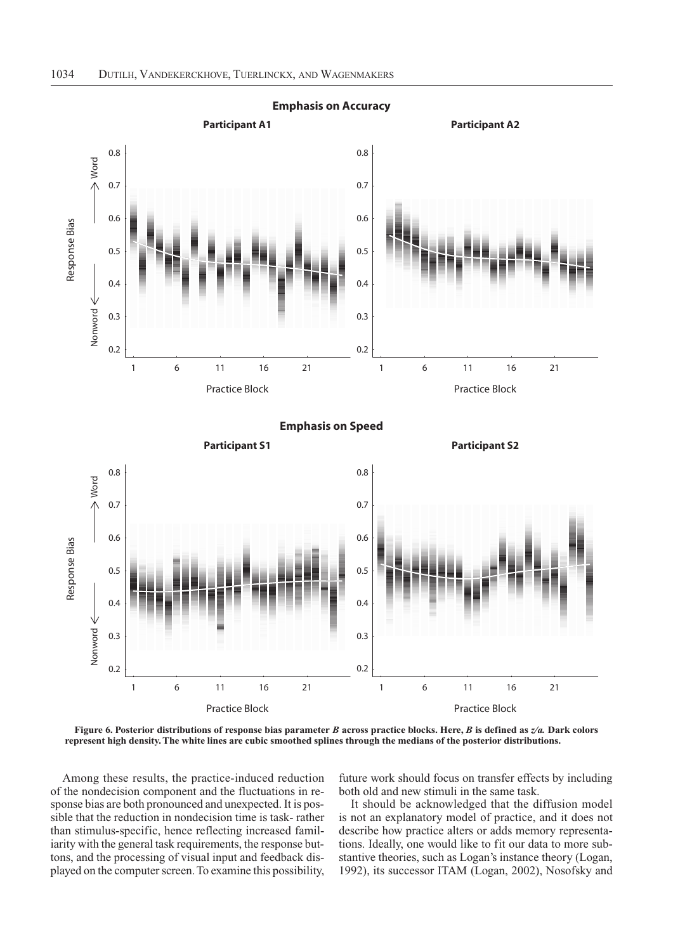

**Figure 6. Posterior distributions of response bias parameter** *B* **across practice blocks. Here,** *B* **is defined as** *z/a.* **Dark colors** 

Among these results, the practice-induced reduction of the nondecision component and the fluctuations in response bias are both pronounced and unexpected. It is possible that the reduction in nondecision time is task- rather than stimulus-specific, hence reflecting increased familiarity with the general task requirements, the response buttons, and the processing of visual input and feedback displayed on the computer screen. To examine this possibility,

future work should focus on transfer effects by including both old and new stimuli in the same task.

It should be acknowledged that the diffusion model is not an explanatory model of practice, and it does not describe how practice alters or adds memory representations. Ideally, one would like to fit our data to more substantive theories, such as Logan's instance theory (Logan, 1992), its successor ITAM (Logan, 2002), Nosofsky and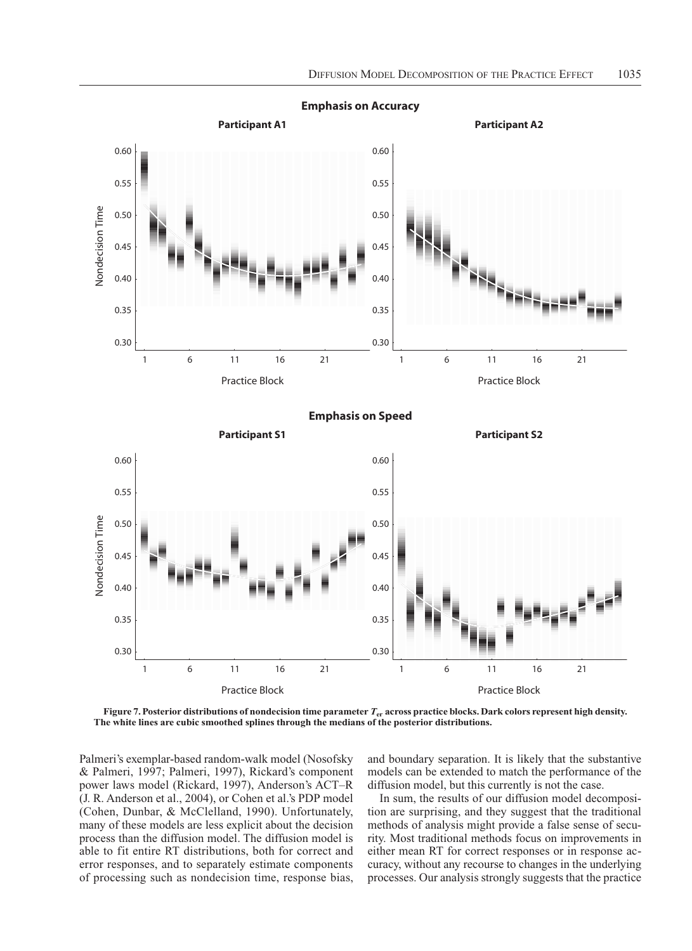

**Emphasis on Accuracy**

**Figure 7. Posterior distributions of nondecision time parameter** *T***er across practice blocks. Dark colors represent high density. The white lines are cubic smoothed splines through the medians of the posterior distributions.**

Palmeri's exemplar-based random-walk model (Nosofsky & Palmeri, 1997; Palmeri, 1997), Rickard's component power laws model (Rickard, 1997), Anderson's ACT–R (J. R. Anderson et al., 2004), or Cohen et al.'s PDP model (Cohen, Dunbar, & McClelland, 1990). Unfortunately, many of these models are less explicit about the decision process than the diffusion model. The diffusion model is able to fit entire RT distributions, both for correct and error responses, and to separately estimate components of processing such as nondecision time, response bias,

and boundary separation. It is likely that the substantive models can be extended to match the performance of the diffusion model, but this currently is not the case.

In sum, the results of our diffusion model decomposition are surprising, and they suggest that the traditional methods of analysis might provide a false sense of security. Most traditional methods focus on improvements in either mean RT for correct responses or in response accuracy, without any recourse to changes in the underlying processes. Our analysis strongly suggests that the practice